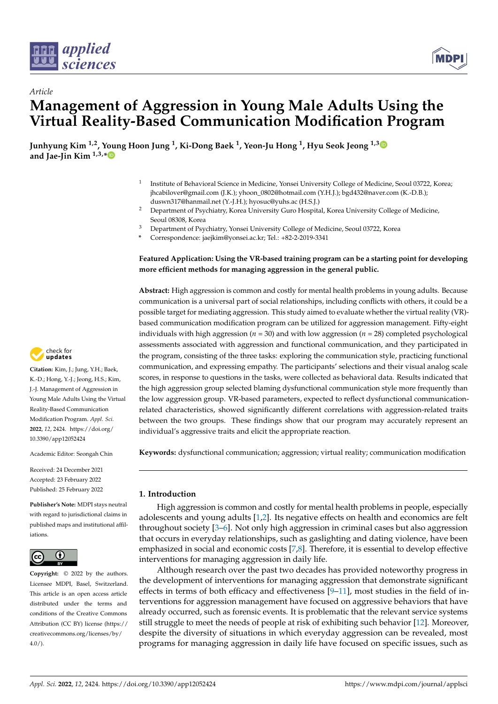



# *Article* **Management of Aggression in Young Male Adults Using the Virtual Reality-Based Communication Modification Program**

**Junhyung Kim 1,2, Young Hoon Jung <sup>1</sup> , Ki-Dong Baek <sup>1</sup> , Yeon-Ju Hong <sup>1</sup> , Hyu Seok Jeong 1,[3](https://orcid.org/0000-0002-7382-9413) and Jae-Jin Kim 1,3,[\\*](https://orcid.org/0000-0002-1395-4562)**

- 1 Institute of Behavioral Science in Medicine, Yonsei University College of Medicine, Seoul 03722, Korea; jhcabilover@gmail.com (J.K.); yhoon\_0802@hotmail.com (Y.H.J.); bgd432@naver.com (K.-D.B.); duswn317@hanmail.net (Y.-J.H.); hyosuc@yuhs.ac (H.S.J.)
- <sup>2</sup> Department of Psychiatry, Korea University Guro Hospital, Korea University College of Medicine, Seoul 08308, Korea
- <sup>3</sup> Department of Psychiatry, Yonsei University College of Medicine, Seoul 03722, Korea
- **\*** Correspondence: jaejkim@yonsei.ac.kr; Tel.: +82-2-2019-3341

# **Featured Application: Using the VR-based training program can be a starting point for developing more efficient methods for managing aggression in the general public.**

**Abstract:** High aggression is common and costly for mental health problems in young adults. Because communication is a universal part of social relationships, including conflicts with others, it could be a possible target for mediating aggression. This study aimed to evaluate whether the virtual reality (VR) based communication modification program can be utilized for aggression management. Fifty-eight individuals with high aggression (*n* = 30) and with low aggression (*n* = 28) completed psychological assessments associated with aggression and functional communication, and they participated in the program, consisting of the three tasks: exploring the communication style, practicing functional communication, and expressing empathy. The participants' selections and their visual analog scale scores, in response to questions in the tasks, were collected as behavioral data. Results indicated that the high aggression group selected blaming dysfunctional communication style more frequently than the low aggression group. VR-based parameters, expected to reflect dysfunctional communicationrelated characteristics, showed significantly different correlations with aggression-related traits between the two groups. These findings show that our program may accurately represent an individual's aggressive traits and elicit the appropriate reaction.

**Keywords:** dysfunctional communication; aggression; virtual reality; communication modification

# **1. Introduction**

High aggression is common and costly for mental health problems in people, especially adolescents and young adults [\[1](#page-8-0)[,2\]](#page-8-1). Its negative effects on health and economics are felt throughout society [\[3](#page-8-2)[–6\]](#page-8-3). Not only high aggression in criminal cases but also aggression that occurs in everyday relationships, such as gaslighting and dating violence, have been emphasized in social and economic costs [\[7](#page-9-0)[,8\]](#page-9-1). Therefore, it is essential to develop effective interventions for managing aggression in daily life.

Although research over the past two decades has provided noteworthy progress in the development of interventions for managing aggression that demonstrate significant effects in terms of both efficacy and effectiveness  $[9-11]$  $[9-11]$ , most studies in the field of interventions for aggression management have focused on aggressive behaviors that have already occurred, such as forensic events. It is problematic that the relevant service systems still struggle to meet the needs of people at risk of exhibiting such behavior [\[12\]](#page-9-4). Moreover, despite the diversity of situations in which everyday aggression can be revealed, most programs for managing aggression in daily life have focused on specific issues, such as



**Citation:** Kim, J.; Jung, Y.H.; Baek, K.-D.; Hong, Y.-J.; Jeong, H.S.; Kim, J.-J. Management of Aggression in Young Male Adults Using the Virtual Reality-Based Communication Modification Program. *Appl. Sci.* **2022**, *12*, 2424. [https://doi.org/](https://doi.org/10.3390/app12052424) [10.3390/app12052424](https://doi.org/10.3390/app12052424)

Academic Editor: Seongah Chin

Received: 24 December 2021 Accepted: 23 February 2022 Published: 25 February 2022

**Publisher's Note:** MDPI stays neutral with regard to jurisdictional claims in published maps and institutional affiliations.



**Copyright:** © 2022 by the authors. Licensee MDPI, Basel, Switzerland. This article is an open access article distributed under the terms and conditions of the Creative Commons Attribution (CC BY) license [\(https://](https://creativecommons.org/licenses/by/4.0/) [creativecommons.org/licenses/by/](https://creativecommons.org/licenses/by/4.0/)  $4.0/$ ).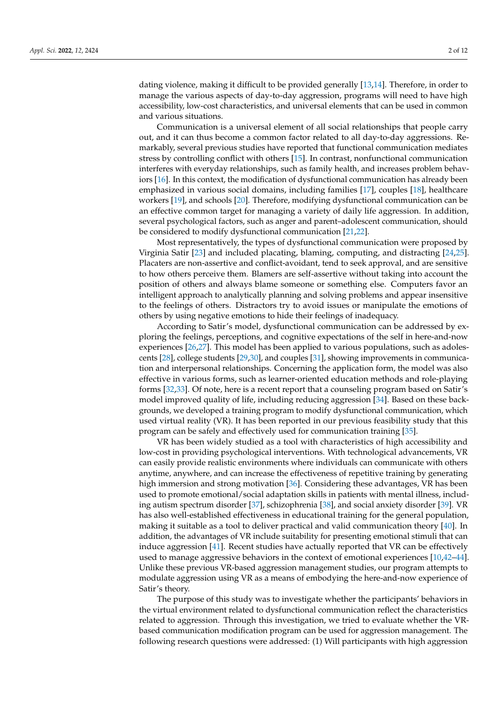dating violence, making it difficult to be provided generally [\[13](#page-9-5)[,14\]](#page-9-6). Therefore, in order to manage the various aspects of day-to-day aggression, programs will need to have high accessibility, low-cost characteristics, and universal elements that can be used in common and various situations.

Communication is a universal element of all social relationships that people carry out, and it can thus become a common factor related to all day-to-day aggressions. Remarkably, several previous studies have reported that functional communication mediates stress by controlling conflict with others [\[15\]](#page-9-7). In contrast, nonfunctional communication interferes with everyday relationships, such as family health, and increases problem behaviors [\[16\]](#page-9-8). In this context, the modification of dysfunctional communication has already been emphasized in various social domains, including families [\[17\]](#page-9-9), couples [\[18\]](#page-9-10), healthcare workers [\[19\]](#page-9-11), and schools [\[20\]](#page-9-12). Therefore, modifying dysfunctional communication can be an effective common target for managing a variety of daily life aggression. In addition, several psychological factors, such as anger and parent–adolescent communication, should be considered to modify dysfunctional communication [\[21,](#page-9-13)[22\]](#page-9-14).

Most representatively, the types of dysfunctional communication were proposed by Virginia Satir [\[23\]](#page-9-15) and included placating, blaming, computing, and distracting [\[24,](#page-9-16)[25\]](#page-9-17). Placaters are non-assertive and conflict-avoidant, tend to seek approval, and are sensitive to how others perceive them. Blamers are self-assertive without taking into account the position of others and always blame someone or something else. Computers favor an intelligent approach to analytically planning and solving problems and appear insensitive to the feelings of others. Distractors try to avoid issues or manipulate the emotions of others by using negative emotions to hide their feelings of inadequacy.

According to Satir's model, dysfunctional communication can be addressed by exploring the feelings, perceptions, and cognitive expectations of the self in here-and-now experiences [\[26,](#page-9-18)[27\]](#page-9-19). This model has been applied to various populations, such as adolescents [\[28\]](#page-9-20), college students [\[29](#page-9-21)[,30\]](#page-9-22), and couples [\[31\]](#page-9-23), showing improvements in communication and interpersonal relationships. Concerning the application form, the model was also effective in various forms, such as learner-oriented education methods and role-playing forms [\[32](#page-9-24)[,33\]](#page-9-25). Of note, here is a recent report that a counseling program based on Satir's model improved quality of life, including reducing aggression [\[34\]](#page-9-26). Based on these backgrounds, we developed a training program to modify dysfunctional communication, which used virtual reality (VR). It has been reported in our previous feasibility study that this program can be safely and effectively used for communication training [\[35\]](#page-9-27).

VR has been widely studied as a tool with characteristics of high accessibility and low-cost in providing psychological interventions. With technological advancements, VR can easily provide realistic environments where individuals can communicate with others anytime, anywhere, and can increase the effectiveness of repetitive training by generating high immersion and strong motivation [\[36\]](#page-10-0). Considering these advantages, VR has been used to promote emotional/social adaptation skills in patients with mental illness, including autism spectrum disorder [\[37\]](#page-10-1), schizophrenia [\[38\]](#page-10-2), and social anxiety disorder [\[39\]](#page-10-3). VR has also well-established effectiveness in educational training for the general population, making it suitable as a tool to deliver practical and valid communication theory [\[40\]](#page-10-4). In addition, the advantages of VR include suitability for presenting emotional stimuli that can induce aggression [\[41\]](#page-10-5). Recent studies have actually reported that VR can be effectively used to manage aggressive behaviors in the context of emotional experiences [\[10](#page-9-28)[,42](#page-10-6)[–44\]](#page-10-7). Unlike these previous VR-based aggression management studies, our program attempts to modulate aggression using VR as a means of embodying the here-and-now experience of Satir's theory.

The purpose of this study was to investigate whether the participants' behaviors in the virtual environment related to dysfunctional communication reflect the characteristics related to aggression. Through this investigation, we tried to evaluate whether the VRbased communication modification program can be used for aggression management. The following research questions were addressed: (1) Will participants with high aggression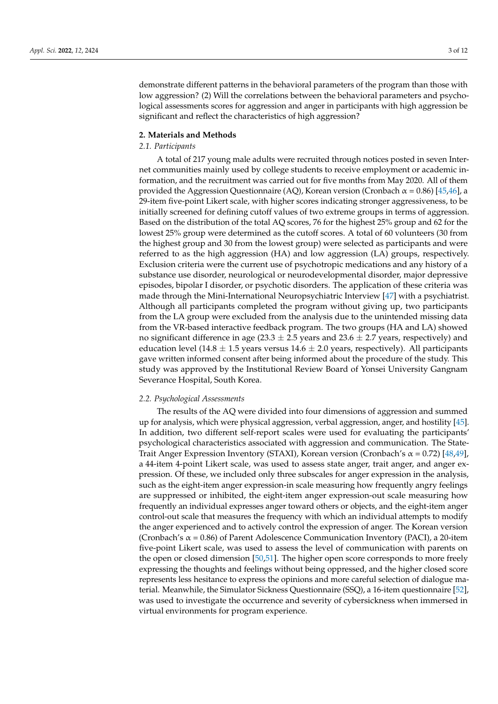demonstrate different patterns in the behavioral parameters of the program than those with low aggression? (2) Will the correlations between the behavioral parameters and psychological assessments scores for aggression and anger in participants with high aggression be significant and reflect the characteristics of high aggression?

#### **2. Materials and Methods**

# *2.1. Participants*

A total of 217 young male adults were recruited through notices posted in seven Internet communities mainly used by college students to receive employment or academic information, and the recruitment was carried out for five months from May 2020. All of them provided the Aggression Questionnaire (AQ), Korean version (Cronbach α = 0.86) [\[45](#page-10-8)[,46\]](#page-10-9), a 29-item five-point Likert scale, with higher scores indicating stronger aggressiveness, to be initially screened for defining cutoff values of two extreme groups in terms of aggression. Based on the distribution of the total AQ scores, 76 for the highest 25% group and 62 for the lowest 25% group were determined as the cutoff scores. A total of 60 volunteers (30 from the highest group and 30 from the lowest group) were selected as participants and were referred to as the high aggression (HA) and low aggression (LA) groups, respectively. Exclusion criteria were the current use of psychotropic medications and any history of a substance use disorder, neurological or neurodevelopmental disorder, major depressive episodes, bipolar I disorder, or psychotic disorders. The application of these criteria was made through the Mini-International Neuropsychiatric Interview [\[47\]](#page-10-10) with a psychiatrist. Although all participants completed the program without giving up, two participants from the LA group were excluded from the analysis due to the unintended missing data from the VR-based interactive feedback program. The two groups (HA and LA) showed no significant difference in age (23.3  $\pm$  2.5 years and 23.6  $\pm$  2.7 years, respectively) and education level (14.8  $\pm$  1.5 years versus 14.6  $\pm$  2.0 years, respectively). All participants gave written informed consent after being informed about the procedure of the study. This study was approved by the Institutional Review Board of Yonsei University Gangnam Severance Hospital, South Korea.

#### *2.2. Psychological Assessments*

The results of the AQ were divided into four dimensions of aggression and summed up for analysis, which were physical aggression, verbal aggression, anger, and hostility [\[45\]](#page-10-8). In addition, two different self-report scales were used for evaluating the participants' psychological characteristics associated with aggression and communication. The State-Trait Anger Expression Inventory (STAXI), Korean version (Cronbach's  $\alpha$  = 0.72) [\[48,](#page-10-11)[49\]](#page-10-12), a 44-item 4-point Likert scale, was used to assess state anger, trait anger, and anger expression. Of these, we included only three subscales for anger expression in the analysis, such as the eight-item anger expression-in scale measuring how frequently angry feelings are suppressed or inhibited, the eight-item anger expression-out scale measuring how frequently an individual expresses anger toward others or objects, and the eight-item anger control-out scale that measures the frequency with which an individual attempts to modify the anger experienced and to actively control the expression of anger. The Korean version (Cronbach's α = 0.86) of Parent Adolescence Communication Inventory (PACI), a 20-item five-point Likert scale, was used to assess the level of communication with parents on the open or closed dimension [\[50](#page-10-13)[,51\]](#page-10-14). The higher open score corresponds to more freely expressing the thoughts and feelings without being oppressed, and the higher closed score represents less hesitance to express the opinions and more careful selection of dialogue material. Meanwhile, the Simulator Sickness Questionnaire (SSQ), a 16-item questionnaire [\[52\]](#page-10-15), was used to investigate the occurrence and severity of cybersickness when immersed in virtual environments for program experience.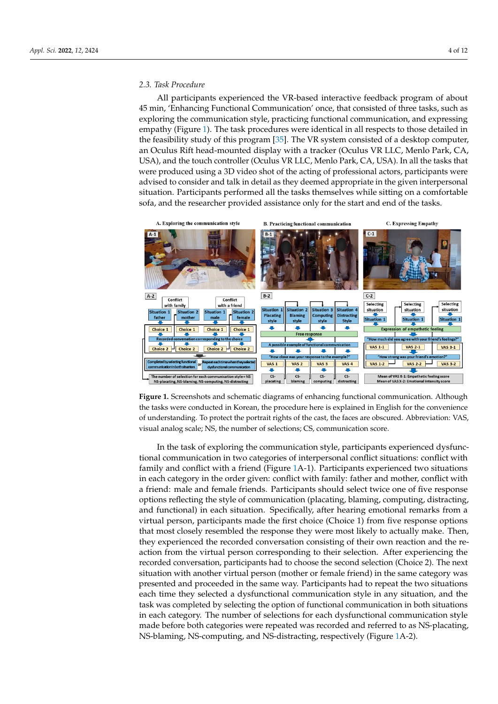# 2.3. Task Procedure

All participants experienced the VR-based interactive feedback program of about 45 min, 'Enhancing Functional Communication' once, that consisted of three tasks, such as exploring the communication style, practicing functional communication, and expressing empathy (Figure [1\)](#page-3-0). The task procedures were identical in all respects to those detailed in the feasibility study of this program [\[35\]](#page-9-27). The VR system consisted of a desktop computer, an Oculus Rift head-mounted display with a tracker (Oculus VR LLC, Menlo Park, CA, USA), and the touch controller (Oculus VR LLC, Menlo Park, CA, USA). In all the tasks that were produced using a 3D video shot of the acting of professional actors, participants were advised to consider and talk in detail as they deemed appropriate in the given interpersonal situation. Participants performed all the tasks themselves while sitting on a comfortable sofa, and the researcher provided assistance only for the start and end of the tasks.

tions reflecting the style of communication (placating, blaming, computing, distracting,

<span id="page-3-0"></span>



In the task of exploring the communication style, participants experienced dysfunctional communication in two categories of interpersonal conflict situations: conflict with family and conflict with a friend (Figure [1A](#page-3-0)-1). Participants experienced two situations in each category in the order given: conflict with family: father and mother, conflict with a friend: male and female friends. Participants should select twice one of five response options reflecting the style of communication (placating, blaming, computing, distracting, and functional) in each situation. Specifically, after hearing emotional remarks from a virtual person, participants made the first choice (Choice 1) from five response options that most closely resembled the response they were most likely to actually make. Then, they experienced the recorded conversation consisting of their own reaction and the reaction from the virtual person corresponding to their selection. After experiencing the recorded conversation, participants had to choose the second selection (Choice 2). The next situation with another virtual person (mother or female friend) in the same category was presented and proceeded in the same way. Participants had to repeat the two situations each time they selected a dysfunctional communication style in any situation, and the task was completed by selecting the option of functional communication in both situations in each category. The number of selections for each dysfunctional communication style made before both categories were repeated was recorded and referred to as NS-placating, NS-blaming, NS-computing, and NS-distracting, respectively (Figure [1A](#page-3-0)-2).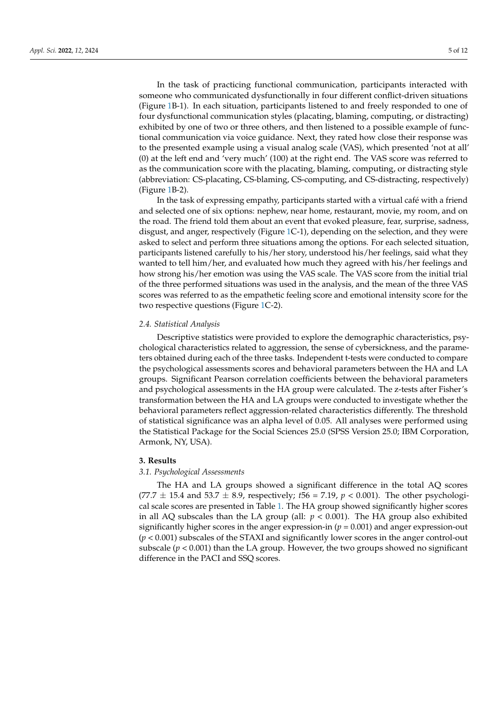In the task of practicing functional communication, participants interacted with someone who communicated dysfunctionally in four different conflict-driven situations (Figure [1B](#page-3-0)-1). In each situation, participants listened to and freely responded to one of four dysfunctional communication styles (placating, blaming, computing, or distracting) exhibited by one of two or three others, and then listened to a possible example of functional communication via voice guidance. Next, they rated how close their response was to the presented example using a visual analog scale (VAS), which presented 'not at all' (0) at the left end and 'very much' (100) at the right end. The VAS score was referred to as the communication score with the placating, blaming, computing, or distracting style (abbreviation: CS-placating, CS-blaming, CS-computing, and CS-distracting, respectively) (Figure [1B](#page-3-0)-2).

In the task of expressing empathy, participants started with a virtual café with a friend and selected one of six options: nephew, near home, restaurant, movie, my room, and on the road. The friend told them about an event that evoked pleasure, fear, surprise, sadness, disgust, and anger, respectively (Figure [1C](#page-3-0)-1), depending on the selection, and they were asked to select and perform three situations among the options. For each selected situation, participants listened carefully to his/her story, understood his/her feelings, said what they wanted to tell him/her, and evaluated how much they agreed with his/her feelings and how strong his/her emotion was using the VAS scale. The VAS score from the initial trial of the three performed situations was used in the analysis, and the mean of the three VAS scores was referred to as the empathetic feeling score and emotional intensity score for the two respective questions (Figure [1C](#page-3-0)-2).

#### *2.4. Statistical Analysis*

Descriptive statistics were provided to explore the demographic characteristics, psychological characteristics related to aggression, the sense of cybersickness, and the parameters obtained during each of the three tasks. Independent t-tests were conducted to compare the psychological assessments scores and behavioral parameters between the HA and LA groups. Significant Pearson correlation coefficients between the behavioral parameters and psychological assessments in the HA group were calculated. The z-tests after Fisher's transformation between the HA and LA groups were conducted to investigate whether the behavioral parameters reflect aggression-related characteristics differently. The threshold of statistical significance was an alpha level of 0.05. All analyses were performed using the Statistical Package for the Social Sciences 25.0 (SPSS Version 25.0; IBM Corporation, Armonk, NY, USA).

#### **3. Results**

#### *3.1. Psychological Assessments*

The HA and LA groups showed a significant difference in the total AQ scores  $(77.7 \pm 15.4 \text{ and } 53.7 \pm 8.9)$ , respectively;  $t56 = 7.19$ ,  $p < 0.001$ ). The other psychological scale scores are presented in Table [1.](#page-5-0) The HA group showed significantly higher scores in all AQ subscales than the LA group (all:  $p < 0.001$ ). The HA group also exhibited significantly higher scores in the anger expression-in  $(p = 0.001)$  and anger expression-out (*p* < 0.001) subscales of the STAXI and significantly lower scores in the anger control-out subscale  $(p < 0.001)$  than the LA group. However, the two groups showed no significant difference in the PACI and SSQ scores.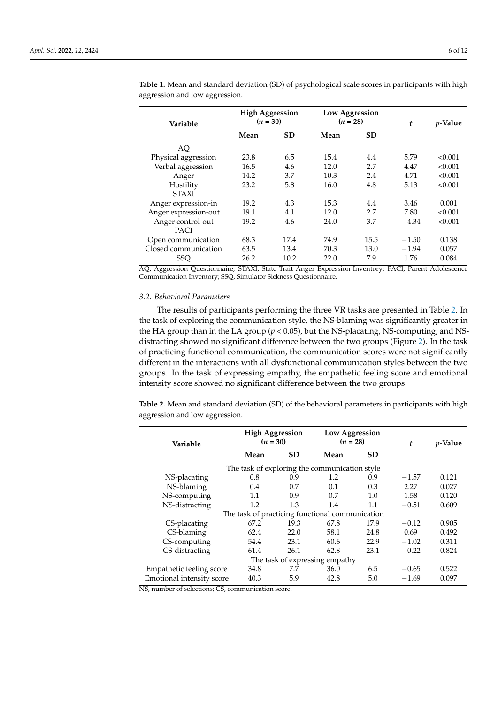| Variable                                                                                                         | <b>High Aggression</b><br>$(n = 30)$ |           | Low Aggression<br>$(n = 28)$ |           | t       | <i>p</i> -Value |
|------------------------------------------------------------------------------------------------------------------|--------------------------------------|-----------|------------------------------|-----------|---------|-----------------|
|                                                                                                                  | Mean                                 | <b>SD</b> | Mean                         | <b>SD</b> |         |                 |
| AQ                                                                                                               |                                      |           |                              |           |         |                 |
| Physical aggression                                                                                              | 23.8                                 | 6.5       | 15.4                         | 4.4       | 5.79    | < 0.001         |
| Verbal aggression                                                                                                | 16.5                                 | 4.6       | 12.0                         | 2.7       | 4.47    | < 0.001         |
| Anger                                                                                                            | 14.2                                 | 3.7       | 10.3                         | 2.4       | 4.71    | < 0.001         |
| Hostility                                                                                                        | 23.2                                 | 5.8       | 16.0                         | 4.8       | 5.13    | < 0.001         |
| <b>STAXI</b>                                                                                                     |                                      |           |                              |           |         |                 |
| Anger expression-in                                                                                              | 19.2                                 | 4.3       | 15.3                         | 4.4       | 3.46    | 0.001           |
| Anger expression-out                                                                                             | 19.1                                 | 4.1       | 12.0                         | 2.7       | 7.80    | < 0.001         |
| Anger control-out                                                                                                | 19.2                                 | 4.6       | 24.0                         | 3.7       | $-4.34$ | < 0.001         |
| PACI                                                                                                             |                                      |           |                              |           |         |                 |
| Open communication                                                                                               | 68.3                                 | 17.4      | 74.9                         | 15.5      | $-1.50$ | 0.138           |
| Closed communication                                                                                             | 63.5                                 | 13.4      | 70.3                         | 13.0      | $-1.94$ | 0.057           |
| <b>SSO</b><br>AO Aggression Questionnaire: CTAVI Clate Trait Agger Expression Inventory: BACI Daront Adolescence | 26.2                                 | 10.2      | 22.0                         | 7.9       | 1.76    | 0.084           |

<span id="page-5-0"></span>**Table 1.** Mean and standard deviation (SD) of psychological scale scores in participants with high aggression and low aggression.

AQ, Aggression Questionnaire; STAXI, State Trait Anger Expression Inventory; PACI, Parent Adolescence Communication Inventory; SSQ, Simulator Sickness Questionnaire.

#### *3.2. Behavioral Parameters*

The results of participants performing the three VR tasks are presented in Table [2.](#page-5-1) In the task of exploring the communication style, the NS-blaming was significantly greater in the HA group than in the LA group (*p* < 0.05), but the NS-placating, NS-computing, and NSdistracting showed no significant difference between the two groups (Figure [2\)](#page-6-0). In the task of practicing functional communication, the communication scores were not significantly different in the interactions with all dysfunctional communication styles between the two groups. In the task of expressing empathy, the empathetic feeling score and emotional intensity score showed no significant difference between the two groups.

<span id="page-5-1"></span>**Table 2.** Mean and standard deviation (SD) of the behavioral parameters in participants with high aggression and low aggression.

| Variable                                        | <b>High Aggression</b><br>$(n = 30)$ |           | Low Aggression<br>$(n = 28)$ |           | t       | <i>p</i> -Value |  |  |  |  |  |
|-------------------------------------------------|--------------------------------------|-----------|------------------------------|-----------|---------|-----------------|--|--|--|--|--|
|                                                 | Mean                                 | <b>SD</b> | Mean                         | <b>SD</b> |         |                 |  |  |  |  |  |
| The task of exploring the communication style   |                                      |           |                              |           |         |                 |  |  |  |  |  |
| NS-placating                                    | 0.8                                  | 0.9       | 1.2                          | 0.9       | $-1.57$ | 0.121           |  |  |  |  |  |
| NS-blaming                                      | 0.4                                  | 0.7       | 0.1                          | 0.3       | 2.27    | 0.027           |  |  |  |  |  |
| NS-computing                                    | 1.1                                  | 0.9       | 0.7                          | 1.0       | 1.58    | 0.120           |  |  |  |  |  |
| NS-distracting                                  | 1.2                                  | 1.3       | 1.4                          | 1.1       | $-0.51$ | 0.609           |  |  |  |  |  |
| The task of practicing functional communication |                                      |           |                              |           |         |                 |  |  |  |  |  |
| CS-placating                                    | 67.2                                 | 19.3      | 67.8                         | 17.9      | $-0.12$ | 0.905           |  |  |  |  |  |
| CS-blaming                                      | 62.4                                 | 22.0      | 58.1                         | 24.8      | 0.69    | 0.492           |  |  |  |  |  |
| CS-computing                                    | 54.4                                 | 23.1      | 60.6                         | 22.9      | $-1.02$ | 0.311           |  |  |  |  |  |
| CS-distracting                                  | 61.4                                 | 26.1      | 62.8                         | 23.1      | $-0.22$ | 0.824           |  |  |  |  |  |
| The task of expressing empathy                  |                                      |           |                              |           |         |                 |  |  |  |  |  |
| Empathetic feeling score                        | 34.8                                 | 7.7       | 36.0                         | 6.5       | $-0.65$ | 0.522           |  |  |  |  |  |
| Emotional intensity score                       | 40.3                                 | 5.9       | 42.8                         | 5.0       | $-1.69$ | 0.097           |  |  |  |  |  |

NS, number of selections; CS, communication score.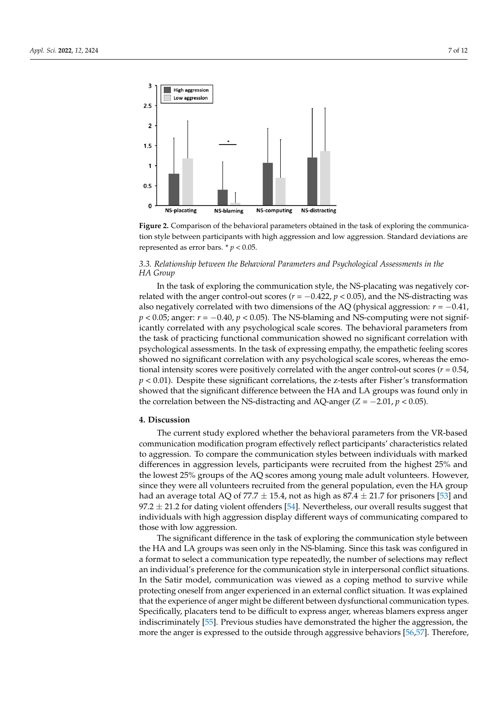<span id="page-6-0"></span>

Figure 2. Comparison of the behavioral parameters obtained in the task of exploring the communication style between participants with high aggression and low aggression. Standard deviations are represented as error bars.  $* p < 0.05$ .

# *3.3. Relationship between the Behavioral Parameters and Psychological Assessments in the HA 3.3. Relationship between the Behavioral Parameters and Psychological Assessments in the Group HA Group*

related with the anger control-out scores ( $r = -0.422$ ,  $p < 0.05$ ), and the NS-distracting was also negatively correlated with two dimensions of the AQ (physical aggression:  $r = -0.41$ ,  $p < 0.05$ ; anger:  $r = -0.40$ ,  $p < 0.05$ ). The NS-blaming and NS-computing were not significantly correlated with any psychological scale scores. The behavioral parameters from the task of practicing functional communication showed no significant correlation with psychological assessments. In the task of expressing empathy, the empathetic feeling scores showed no significant correlation with any psychological scale scores, whereas the emotional intensity scores were positively correlated with the anger control-out scores ( $r = 0.54$ ,  $p$  < 0.01). Despite these significant correlations, the z-tests after Fisher's transformation showed that the significant difference between the HA and LA groups was found only in the correlation between the NS-distracting and AQ-anger (*Z* =  $-2.01$ , *p* < 0.05). In the task of exploring the communication style, the NS-placating was negatively cor-

### **4. Discussion**

The current study explored whether the behavioral parameters from the VR-based communication modification program effectively reflect participants' characteristics related communication modification program effectively reflect participants' characteristics related<br>to aggression. To compare the communication styles between individuals with marked differences in aggression levels, participants were recruited from the highest 25% and the lowest 25% groups of the AQ scores among young male adult volunteers. However, since they were all volunteers recruited from the general population, even the HA group had an average total AQ of 77.7  $\pm$  15.4, not as high as 87.4  $\pm$  21.7 for prisoners [\[53\]](#page-10-16) and 97.2  $\pm$  21.2 for dating violent offenders [\[54\]](#page-10-17). Nevertheless, our overall results suggest that individuals with high aggression display different ways of communicating compared to those with low aggression.

The significant difference in the task of exploring the communication style between the HA and LA groups was seen only in the NS-blaming. Since this task was configured in a format to select a communication type repeatedly, the number of selections may reflect an individual's preference for the communication style in interpersonal conflict situations. In the Satir model, communication was viewed as a coping method to survive while protecting oneself from anger experienced in an external conflict situation. It was explained that the experience of anger might be different between dysfunctional communication types. Specifically, placaters tend to be difficult to express anger, whereas blamers express anger indiscriminately [\[55\]](#page-10-18). Previous studies have demonstrated the higher the aggression, the more the anger is expressed to the outside through aggressive behaviors [\[56,](#page-10-19)[57\]](#page-10-20). Therefore,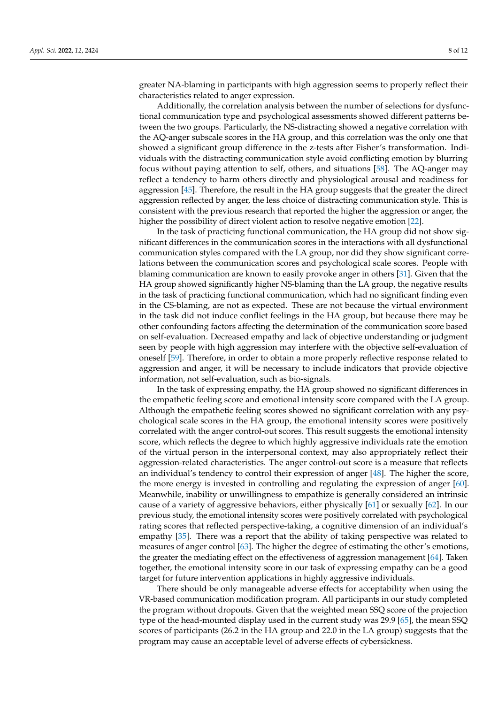greater NA-blaming in participants with high aggression seems to properly reflect their characteristics related to anger expression.

Additionally, the correlation analysis between the number of selections for dysfunctional communication type and psychological assessments showed different patterns between the two groups. Particularly, the NS-distracting showed a negative correlation with the AQ-anger subscale scores in the HA group, and this correlation was the only one that showed a significant group difference in the z-tests after Fisher's transformation. Individuals with the distracting communication style avoid conflicting emotion by blurring focus without paying attention to self, others, and situations [\[58\]](#page-10-21). The AQ-anger may reflect a tendency to harm others directly and physiological arousal and readiness for aggression [\[45\]](#page-10-8). Therefore, the result in the HA group suggests that the greater the direct aggression reflected by anger, the less choice of distracting communication style. This is consistent with the previous research that reported the higher the aggression or anger, the higher the possibility of direct violent action to resolve negative emotion [\[22\]](#page-9-14).

In the task of practicing functional communication, the HA group did not show significant differences in the communication scores in the interactions with all dysfunctional communication styles compared with the LA group, nor did they show significant correlations between the communication scores and psychological scale scores. People with blaming communication are known to easily provoke anger in others [\[31\]](#page-9-23). Given that the HA group showed significantly higher NS-blaming than the LA group, the negative results in the task of practicing functional communication, which had no significant finding even in the CS-blaming, are not as expected. These are not because the virtual environment in the task did not induce conflict feelings in the HA group, but because there may be other confounding factors affecting the determination of the communication score based on self-evaluation. Decreased empathy and lack of objective understanding or judgment seen by people with high aggression may interfere with the objective self-evaluation of oneself [\[59\]](#page-10-22). Therefore, in order to obtain a more properly reflective response related to aggression and anger, it will be necessary to include indicators that provide objective information, not self-evaluation, such as bio-signals.

In the task of expressing empathy, the HA group showed no significant differences in the empathetic feeling score and emotional intensity score compared with the LA group. Although the empathetic feeling scores showed no significant correlation with any psychological scale scores in the HA group, the emotional intensity scores were positively correlated with the anger control-out scores. This result suggests the emotional intensity score, which reflects the degree to which highly aggressive individuals rate the emotion of the virtual person in the interpersonal context, may also appropriately reflect their aggression-related characteristics. The anger control-out score is a measure that reflects an individual's tendency to control their expression of anger [\[48\]](#page-10-11). The higher the score, the more energy is invested in controlling and regulating the expression of anger [\[60\]](#page-10-23). Meanwhile, inability or unwillingness to empathize is generally considered an intrinsic cause of a variety of aggressive behaviors, either physically [\[61\]](#page-10-24) or sexually [\[62\]](#page-10-25). In our previous study, the emotional intensity scores were positively correlated with psychological rating scores that reflected perspective-taking, a cognitive dimension of an individual's empathy [\[35\]](#page-9-27). There was a report that the ability of taking perspective was related to measures of anger control [\[63\]](#page-10-26). The higher the degree of estimating the other's emotions, the greater the mediating effect on the effectiveness of aggression management [\[64\]](#page-10-27). Taken together, the emotional intensity score in our task of expressing empathy can be a good target for future intervention applications in highly aggressive individuals.

There should be only manageable adverse effects for acceptability when using the VR-based communication modification program. All participants in our study completed the program without dropouts. Given that the weighted mean SSQ score of the projection type of the head-mounted display used in the current study was 29.9 [\[65\]](#page-11-0), the mean SSQ scores of participants (26.2 in the HA group and 22.0 in the LA group) suggests that the program may cause an acceptable level of adverse effects of cybersickness.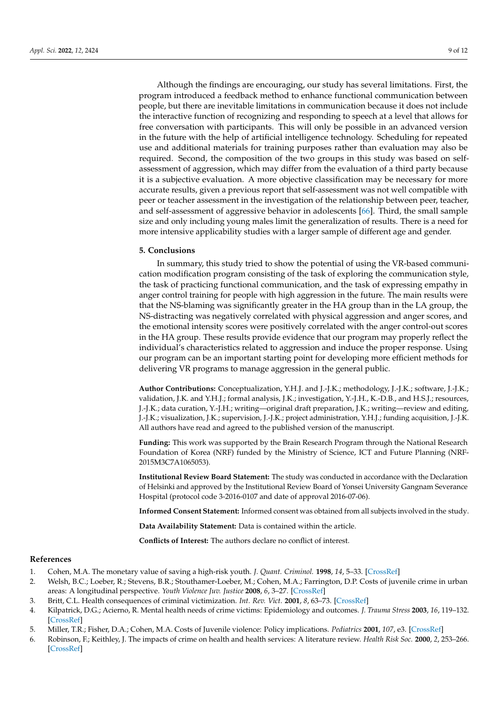Although the findings are encouraging, our study has several limitations. First, the program introduced a feedback method to enhance functional communication between people, but there are inevitable limitations in communication because it does not include the interactive function of recognizing and responding to speech at a level that allows for free conversation with participants. This will only be possible in an advanced version in the future with the help of artificial intelligence technology. Scheduling for repeated use and additional materials for training purposes rather than evaluation may also be required. Second, the composition of the two groups in this study was based on selfassessment of aggression, which may differ from the evaluation of a third party because it is a subjective evaluation. A more objective classification may be necessary for more accurate results, given a previous report that self-assessment was not well compatible with peer or teacher assessment in the investigation of the relationship between peer, teacher, and self-assessment of aggressive behavior in adolescents [\[66\]](#page-11-1). Third, the small sample size and only including young males limit the generalization of results. There is a need for more intensive applicability studies with a larger sample of different age and gender.

#### **5. Conclusions**

In summary, this study tried to show the potential of using the VR-based communication modification program consisting of the task of exploring the communication style, the task of practicing functional communication, and the task of expressing empathy in anger control training for people with high aggression in the future. The main results were that the NS-blaming was significantly greater in the HA group than in the LA group, the NS-distracting was negatively correlated with physical aggression and anger scores, and the emotional intensity scores were positively correlated with the anger control-out scores in the HA group. These results provide evidence that our program may properly reflect the individual's characteristics related to aggression and induce the proper response. Using our program can be an important starting point for developing more efficient methods for delivering VR programs to manage aggression in the general public.

**Author Contributions:** Conceptualization, Y.H.J. and J.-J.K.; methodology, J.-J.K.; software, J.-J.K.; validation, J.K. and Y.H.J.; formal analysis, J.K.; investigation, Y.-J.H., K.-D.B., and H.S.J.; resources, J.-J.K.; data curation, Y.-J.H.; writing—original draft preparation, J.K.; writing—review and editing, J.-J.K.; visualization, J.K.; supervision, J.-J.K.; project administration, Y.H.J.; funding acquisition, J.-J.K. All authors have read and agreed to the published version of the manuscript.

**Funding:** This work was supported by the Brain Research Program through the National Research Foundation of Korea (NRF) funded by the Ministry of Science, ICT and Future Planning (NRF-2015M3C7A1065053).

**Institutional Review Board Statement:** The study was conducted in accordance with the Declaration of Helsinki and approved by the Institutional Review Board of Yonsei University Gangnam Severance Hospital (protocol code 3-2016-0107 and date of approval 2016-07-06).

**Informed Consent Statement:** Informed consent was obtained from all subjects involved in the study.

**Data Availability Statement:** Data is contained within the article.

**Conflicts of Interest:** The authors declare no conflict of interest.

#### **References**

- <span id="page-8-0"></span>1. Cohen, M.A. The monetary value of saving a high-risk youth. *J. Quant. Criminol.* **1998**, *14*, 5–33. [\[CrossRef\]](http://doi.org/10.1023/A:1023092324459)
- <span id="page-8-1"></span>2. Welsh, B.C.; Loeber, R.; Stevens, B.R.; Stouthamer-Loeber, M.; Cohen, M.A.; Farrington, D.P. Costs of juvenile crime in urban areas: A longitudinal perspective. *Youth Violence Juv. Justice* **2008**, *6*, 3–27. [\[CrossRef\]](http://doi.org/10.1177/1541204007308427)
- <span id="page-8-2"></span>3. Britt, C.L. Health consequences of criminal victimization. *Int. Rev. Vict.* **2001**, *8*, 63–73. [\[CrossRef\]](http://doi.org/10.1177/026975800100800104)
- 4. Kilpatrick, D.G.; Acierno, R. Mental health needs of crime victims: Epidemiology and outcomes. *J. Trauma Stress* **2003**, *16*, 119–132. [\[CrossRef\]](http://doi.org/10.1023/A:1022891005388)
- 5. Miller, T.R.; Fisher, D.A.; Cohen, M.A. Costs of Juvenile violence: Policy implications. *Pediatrics* **2001**, *107*, e3. [\[CrossRef\]](http://doi.org/10.1542/peds.107.1.e3)
- <span id="page-8-3"></span>6. Robinson, F.; Keithley, J. The impacts of crime on health and health services: A literature review. *Health Risk Soc.* **2000**, *2*, 253–266. [\[CrossRef\]](http://doi.org/10.1080/713670168)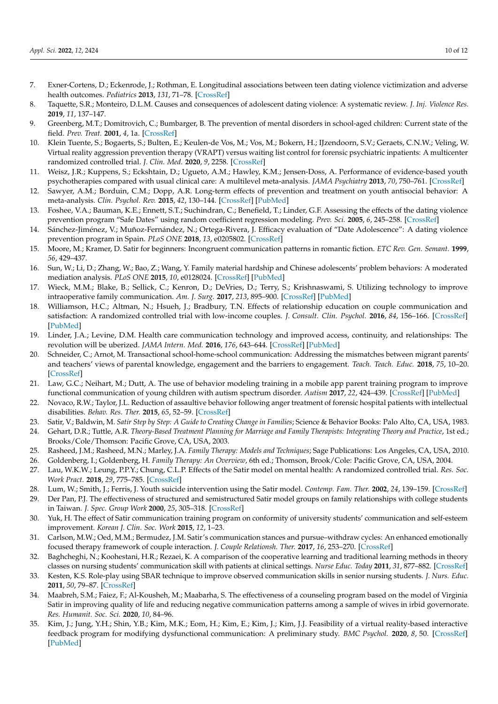- <span id="page-9-0"></span>7. Exner-Cortens, D.; Eckenrode, J.; Rothman, E. Longitudinal associations between teen dating violence victimization and adverse health outcomes. *Pediatrics* **2013**, *131*, 71–78. [\[CrossRef\]](http://doi.org/10.1542/peds.2012-1029)
- <span id="page-9-1"></span>8. Taquette, S.R.; Monteiro, D.L.M. Causes and consequences of adolescent dating violence: A systematic review. *J. Inj. Violence Res.* **2019**, *11*, 137–147.
- <span id="page-9-2"></span>9. Greenberg, M.T.; Domitrovich, C.; Bumbarger, B. The prevention of mental disorders in school-aged children: Current state of the field. *Prev. Treat.* **2001**, *4*, 1a. [\[CrossRef\]](http://doi.org/10.1037/1522-3736.4.1.41a)
- <span id="page-9-28"></span>10. Klein Tuente, S.; Bogaerts, S.; Bulten, E.; Keulen-de Vos, M.; Vos, M.; Bokern, H.; IJzendoorn, S.V.; Geraets, C.N.W.; Veling, W. Virtual reality aggression prevention therapy (VRAPT) versus waiting list control for forensic psychiatric inpatients: A multicenter randomized controlled trial. *J. Clin. Med.* **2020**, *9*, 2258. [\[CrossRef\]](http://doi.org/10.3390/jcm9072258)
- <span id="page-9-3"></span>11. Weisz, J.R.; Kuppens, S.; Eckshtain, D.; Ugueto, A.M.; Hawley, K.M.; Jensen-Doss, A. Performance of evidence-based youth psychotherapies compared with usual clinical care: A multilevel meta-analysis. *JAMA Psychiatry* **2013**, *70*, 750–761. [\[CrossRef\]](http://doi.org/10.1001/jamapsychiatry.2013.1176)
- <span id="page-9-4"></span>12. Sawyer, A.M.; Borduin, C.M.; Dopp, A.R. Long-term effects of prevention and treatment on youth antisocial behavior: A meta-analysis. *Clin. Psychol. Rev.* **2015**, *42*, 130–144. [\[CrossRef\]](http://doi.org/10.1016/j.cpr.2015.06.009) [\[PubMed\]](http://www.ncbi.nlm.nih.gov/pubmed/26197725)
- <span id="page-9-5"></span>13. Foshee, V.A.; Bauman, K.E.; Ennett, S.T.; Suchindran, C.; Benefield, T.; Linder, G.F. Assessing the effects of the dating violence prevention program "Safe Dates" using random coefficient regression modeling. *Prev. Sci.* **2005**, *6*, 245–258. [\[CrossRef\]](http://doi.org/10.1007/s11121-005-0007-0)
- <span id="page-9-6"></span>14. Sánchez-Jiménez, V.; Muñoz-Fernández, N.; Ortega-Rivera, J. Efficacy evaluation of "Date Adolescence": A dating violence prevention program in Spain. *PLoS ONE* **2018**, *13*, e0205802. [\[CrossRef\]](http://doi.org/10.1371/journal.pone.0205802)
- <span id="page-9-7"></span>15. Moore, M.; Kramer, D. Satir for beginners: Incongruent communication patterns in romantic fiction. *ETC Rev. Gen. Semant.* **1999**, *56*, 429–437.
- <span id="page-9-8"></span>16. Sun, W.; Li, D.; Zhang, W.; Bao, Z.; Wang, Y. Family material hardship and Chinese adolescents' problem behaviors: A moderated mediation analysis. *PLoS ONE* **2015**, *10*, e0128024. [\[CrossRef\]](http://doi.org/10.1371/journal.pone.0128024) [\[PubMed\]](http://www.ncbi.nlm.nih.gov/pubmed/26010256)
- <span id="page-9-9"></span>17. Wieck, M.M.; Blake, B.; Sellick, C.; Kenron, D.; DeVries, D.; Terry, S.; Krishnaswami, S. Utilizing technology to improve intraoperative family communication. *Am. J. Surg.* **2017**, *213*, 895–900. [\[CrossRef\]](http://doi.org/10.1016/j.amjsurg.2017.03.014) [\[PubMed\]](http://www.ncbi.nlm.nih.gov/pubmed/28372788)
- <span id="page-9-10"></span>18. Williamson, H.C.; Altman, N.; Hsueh, J.; Bradbury, T.N. Effects of relationship education on couple communication and satisfaction: A randomized controlled trial with low-income couples. *J. Consult. Clin. Psychol.* **2016**, *84*, 156–166. [\[CrossRef\]](http://doi.org/10.1037/ccp0000056) [\[PubMed\]](http://www.ncbi.nlm.nih.gov/pubmed/26501497)
- <span id="page-9-11"></span>19. Linder, J.A.; Levine, D.M. Health care communication technology and improved access, continuity, and relationships: The revolution will be uberized. *JAMA Intern. Med.* **2016**, *176*, 643–644. [\[CrossRef\]](http://doi.org/10.1001/jamainternmed.2016.0692) [\[PubMed\]](http://www.ncbi.nlm.nih.gov/pubmed/27043797)
- <span id="page-9-12"></span>20. Schneider, C.; Arnot, M. Transactional school-home-school communication: Addressing the mismatches between migrant parents' and teachers' views of parental knowledge, engagement and the barriers to engagement. *Teach. Teach. Educ.* **2018**, *75*, 10–20. [\[CrossRef\]](http://doi.org/10.1016/j.tate.2018.05.005)
- <span id="page-9-13"></span>21. Law, G.C.; Neihart, M.; Dutt, A. The use of behavior modeling training in a mobile app parent training program to improve functional communication of young children with autism spectrum disorder. *Autism* **2017**, *22*, 424–439. [\[CrossRef\]](http://doi.org/10.1177/1362361316683887) [\[PubMed\]](http://www.ncbi.nlm.nih.gov/pubmed/29153002)
- <span id="page-9-14"></span>22. Novaco, R.W.; Taylor, J.L. Reduction of assaultive behavior following anger treatment of forensic hospital patients with intellectual disabilities. *Behav. Res. Ther.* **2015**, *65*, 52–59. [\[CrossRef\]](http://doi.org/10.1016/j.brat.2014.12.001)
- <span id="page-9-15"></span>23. Satir, V.; Baldwin, M. *Satir Step by Step: A Guide to Creating Change in Families*; Science & Behavior Books: Palo Alto, CA, USA, 1983.
- <span id="page-9-16"></span>24. Gehart, D.R.; Tuttle, A.R. *Theory-Based Treatment Planning for Marriage and Family Therapists: Integrating Theory and Practice*, 1st ed.; Brooks/Cole/Thomson: Pacific Grove, CA, USA, 2003.
- <span id="page-9-17"></span>25. Rasheed, J.M.; Rasheed, M.N.; Marley, J.A. *Family Therapy: Models and Techniques*; Sage Publications: Los Angeles, CA, USA, 2010.
- <span id="page-9-18"></span>26. Goldenberg, I.; Goldenberg, H. *Family Therapy: An Overview*, 6th ed.; Thomson, Brook/Cole: Pacific Grove, CA, USA, 2004.
- <span id="page-9-19"></span>27. Lau, W.K.W.; Leung, P.P.Y.; Chung, C.L.P. Effects of the Satir model on mental health: A randomized controlled trial. *Res. Soc. Work Pract.* **2018**, *29*, 775–785. [\[CrossRef\]](http://doi.org/10.1177/1049731518819829)
- <span id="page-9-20"></span>28. Lum, W.; Smith, J.; Ferris, J. Youth suicide intervention using the Satir model. *Contemp. Fam. Ther.* **2002**, *24*, 139–159. [\[CrossRef\]](http://doi.org/10.1023/A:1014381807717)
- <span id="page-9-21"></span>29. Der Pan, P.J. The effectiveness of structured and semistructured Satir model groups on family relationships with college students in Taiwan. *J. Spec. Group Work* **2000**, *25*, 305–318. [\[CrossRef\]](http://doi.org/10.1080/01933920008411469)
- <span id="page-9-22"></span>30. Yuk, H. The effect of Satir communication training program on conformity of university students' communication and self-esteem improvement. *Korean J. Clin. Soc. Work* **2015**, *12*, 1–23.
- <span id="page-9-23"></span>31. Carlson, M.W.; Oed, M.M.; Bermudez, J.M. Satir's communication stances and pursue–withdraw cycles: An enhanced emotionally focused therapy framework of couple interaction. *J. Couple Relationsh. Ther.* **2017**, *16*, 253–270. [\[CrossRef\]](http://doi.org/10.1080/15332691.2016.1253517)
- <span id="page-9-24"></span>32. Baghcheghi, N.; Koohestani, H.R.; Rezaei, K. A comparison of the cooperative learning and traditional learning methods in theory classes on nursing students' communication skill with patients at clinical settings. *Nurse Educ. Today* **2011**, *31*, 877–882. [\[CrossRef\]](http://doi.org/10.1016/j.nedt.2011.01.006)
- <span id="page-9-25"></span>33. Kesten, K.S. Role-play using SBAR technique to improve observed communication skills in senior nursing students. *J. Nurs. Educ.* **2011**, *50*, 79–87. [\[CrossRef\]](http://doi.org/10.3928/01484834-20101230-02)
- <span id="page-9-26"></span>34. Maabreh, S.M.; Faiez, F.; Al-Kousheh, M.; Maabarha, S. The effectiveness of a counseling program based on the model of Virginia Satir in improving quality of life and reducing negative communication patterns among a sample of wives in irbid governorate. *Res. Humanit. Soc. Sci.* **2020**, *10*, 84–96.
- <span id="page-9-27"></span>35. Kim, J.; Jung, Y.H.; Shin, Y.B.; Kim, M.K.; Eom, H.; Kim, E.; Kim, J.; Kim, J.J. Feasibility of a virtual reality-based interactive feedback program for modifying dysfunctional communication: A preliminary study. *BMC Psychol.* **2020**, *8*, 50. [\[CrossRef\]](http://doi.org/10.1186/s40359-020-00418-0) [\[PubMed\]](http://www.ncbi.nlm.nih.gov/pubmed/32410661)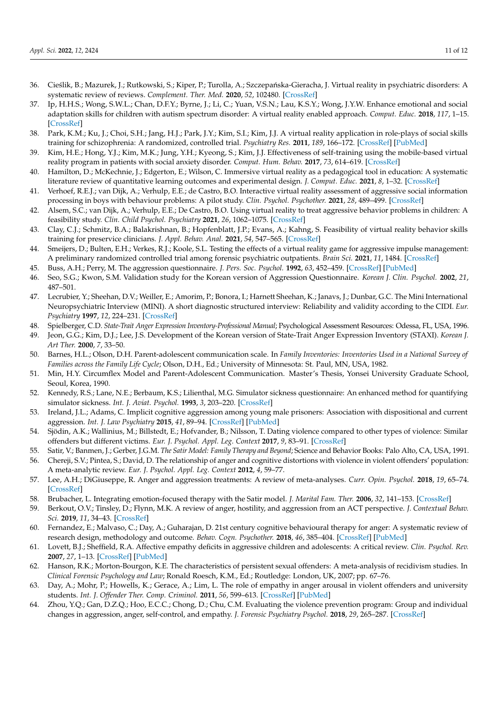- <span id="page-10-0"></span>36. Cieślik, B.; Mazurek, J.; Rutkowski, S.; Kiper, P.; Turolla, A.; Szczepańska-Gieracha, J. Virtual reality in psychiatric disorders: A systematic review of reviews. *Complement. Ther. Med.* **2020**, *52*, 102480. [\[CrossRef\]](http://doi.org/10.1016/j.ctim.2020.102480)
- <span id="page-10-1"></span>37. Ip, H.H.S.; Wong, S.W.L.; Chan, D.F.Y.; Byrne, J.; Li, C.; Yuan, V.S.N.; Lau, K.S.Y.; Wong, J.Y.W. Enhance emotional and social adaptation skills for children with autism spectrum disorder: A virtual reality enabled approach. *Comput. Educ.* **2018**, *117*, 1–15. [\[CrossRef\]](http://doi.org/10.1016/j.compedu.2017.09.010)
- <span id="page-10-2"></span>38. Park, K.M.; Ku, J.; Choi, S.H.; Jang, H.J.; Park, J.Y.; Kim, S.I.; Kim, J.J. A virtual reality application in role-plays of social skills training for schizophrenia: A randomized, controlled trial. *Psychiatry Res.* **2011**, *189*, 166–172. [\[CrossRef\]](http://doi.org/10.1016/j.psychres.2011.04.003) [\[PubMed\]](http://www.ncbi.nlm.nih.gov/pubmed/21529970)
- <span id="page-10-3"></span>39. Kim, H.E.; Hong, Y.J.; Kim, M.K.; Jung, Y.H.; Kyeong, S.; Kim, J.J. Effectiveness of self-training using the mobile-based virtual reality program in patients with social anxiety disorder. *Comput. Hum. Behav.* **2017**, *73*, 614–619. [\[CrossRef\]](http://doi.org/10.1016/j.chb.2017.04.017)
- <span id="page-10-4"></span>40. Hamilton, D.; McKechnie, J.; Edgerton, E.; Wilson, C. Immersive virtual reality as a pedagogical tool in education: A systematic literature review of quantitative learning outcomes and experimental design. *J. Comput. Educ.* **2021**, *8*, 1–32. [\[CrossRef\]](http://doi.org/10.1007/s40692-020-00169-2)
- <span id="page-10-5"></span>41. Verhoef, R.E.J.; van Dijk, A.; Verhulp, E.E.; de Castro, B.O. Interactive virtual reality assessment of aggressive social information processing in boys with behaviour problems: A pilot study. *Clin. Psychol. Psychother.* **2021**, *28*, 489–499. [\[CrossRef\]](http://doi.org/10.1002/cpp.2620)
- <span id="page-10-6"></span>42. Alsem, S.C.; van Dijk, A.; Verhulp, E.E.; De Castro, B.O. Using virtual reality to treat aggressive behavior problems in children: A feasibility study. *Clin. Child Psychol. Psychiatry* **2021**, *26*, 1062–1075. [\[CrossRef\]](http://doi.org/10.1177/13591045211026160)
- 43. Clay, C.J.; Schmitz, B.A.; Balakrishnan, B.; Hopfenblatt, J.P.; Evans, A.; Kahng, S. Feasibility of virtual reality behavior skills training for preservice clinicians. *J. Appl. Behav. Anal.* **2021**, *54*, 547–565. [\[CrossRef\]](http://doi.org/10.1002/jaba.809)
- <span id="page-10-7"></span>44. Smeijers, D.; Bulten, E.H.; Verkes, R.J.; Koole, S.L. Testing the effects of a virtual reality game for aggressive impulse management: A preliminary randomized controlled trial among forensic psychiatric outpatients. *Brain Sci.* **2021**, *11*, 1484. [\[CrossRef\]](http://doi.org/10.3390/brainsci11111484)
- <span id="page-10-8"></span>45. Buss, A.H.; Perry, M. The aggression questionnaire. *J. Pers. Soc. Psychol.* **1992**, *63*, 452–459. [\[CrossRef\]](http://doi.org/10.1037/0022-3514.63.3.452) [\[PubMed\]](http://www.ncbi.nlm.nih.gov/pubmed/1403624)
- <span id="page-10-9"></span>46. Seo, S.G.; Kwon, S.M. Validation study for the Korean version of Aggression Questionnaire. *Korean J. Clin. Psychol.* **2002**, *21*, 487–501.
- <span id="page-10-10"></span>47. Lecrubier, Y.; Sheehan, D.V.; Weiller, E.; Amorim, P.; Bonora, I.; Harnett Sheehan, K.; Janavs, J.; Dunbar, G.C. The Mini International Neuropsychiatric Interview (MINI). A short diagnostic structured interview: Reliability and validity according to the CIDI. *Eur. Psychiatry* **1997**, *12*, 224–231. [\[CrossRef\]](http://doi.org/10.1016/S0924-9338(97)83296-8)
- <span id="page-10-11"></span>48. Spielberger, C.D. *State-Trait Anger Expression Inventory-Professional Manual*; Psychological Assessment Resources: Odessa, FL, USA, 1996.
- <span id="page-10-12"></span>49. Jeon, G.G.; Kim, D.J.; Lee, J.S. Development of the Korean version of State-Trait Anger Expression Inventory (STAXI). *Korean J. Art Ther.* **2000**, *7*, 33–50.
- <span id="page-10-13"></span>50. Barnes, H.L.; Olson, D.H. Parent-adolescent communication scale. In *Family Inventories: Inventories Used in a National Survey of Families across the Family Life Cycle*; Olson, D.H., Ed.; University of Minnesota: St. Paul, MN, USA, 1982.
- <span id="page-10-14"></span>51. Min, H.Y. Circumflex Model and Parent-Adolescent Communication. Master's Thesis, Yonsei University Graduate School, Seoul, Korea, 1990.
- <span id="page-10-15"></span>52. Kennedy, R.S.; Lane, N.E.; Berbaum, K.S.; Lilienthal, M.G. Simulator sickness questionnaire: An enhanced method for quantifying simulator sickness. *Int. J. Aviat. Psychol.* **1993**, *3*, 203–220. [\[CrossRef\]](http://doi.org/10.1207/s15327108ijap0303_3)
- <span id="page-10-16"></span>53. Ireland, J.L.; Adams, C. Implicit cognitive aggression among young male prisoners: Association with dispositional and current aggression. *Int. J. Law Psychiatry* **2015**, *41*, 89–94. [\[CrossRef\]](http://doi.org/10.1016/j.ijlp.2015.03.012) [\[PubMed\]](http://www.ncbi.nlm.nih.gov/pubmed/25857854)
- <span id="page-10-17"></span>54. Sjödin, A.K.; Wallinius, M.; Billstedt, E.; Hofvander, B.; Nilsson, T. Dating violence compared to other types of violence: Similar offenders but different victims. *Eur. J. Psychol. Appl. Leg. Context* **2017**, *9*, 83–91. [\[CrossRef\]](http://doi.org/10.1016/j.ejpal.2017.03.001)
- <span id="page-10-18"></span>55. Satir, V.; Banmen, J.; Gerber, J.G.M. *The Satir Model: Family Therapy and Beyond*; Science and Behavior Books: Palo Alto, CA, USA, 1991.
- <span id="page-10-19"></span>56. Chereji, S.V.; Pintea, S.; David, D. The relationship of anger and cognitive distortions with violence in violent offenders' population: A meta-analytic review. *Eur. J. Psychol. Appl. Leg. Context* **2012**, *4*, 59–77.
- <span id="page-10-20"></span>57. Lee, A.H.; DiGiuseppe, R. Anger and aggression treatments: A review of meta-analyses. *Curr. Opin. Psychol.* **2018**, *19*, 65–74. [\[CrossRef\]](http://doi.org/10.1016/j.copsyc.2017.04.004)
- <span id="page-10-21"></span>58. Brubacher, L. Integrating emotion-focused therapy with the Satir model. *J. Marital Fam. Ther.* **2006**, *32*, 141–153. [\[CrossRef\]](http://doi.org/10.1111/j.1752-0606.2006.tb01596.x)
- <span id="page-10-22"></span>59. Berkout, O.V.; Tinsley, D.; Flynn, M.K. A review of anger, hostility, and aggression from an ACT perspective. *J. Contextual Behav. Sci.* **2019**, *11*, 34–43. [\[CrossRef\]](http://doi.org/10.1016/j.jcbs.2018.12.001)
- <span id="page-10-23"></span>60. Fernandez, E.; Malvaso, C.; Day, A.; Guharajan, D. 21st century cognitive behavioural therapy for anger: A systematic review of research design, methodology and outcome. *Behav. Cogn. Psychother.* **2018**, *46*, 385–404. [\[CrossRef\]](http://doi.org/10.1017/S1352465818000048) [\[PubMed\]](http://www.ncbi.nlm.nih.gov/pubmed/29463345)
- <span id="page-10-24"></span>61. Lovett, B.J.; Sheffield, R.A. Affective empathy deficits in aggressive children and adolescents: A critical review. *Clin. Psychol. Rev.* **2007**, *27*, 1–13. [\[CrossRef\]](http://doi.org/10.1016/j.cpr.2006.03.003) [\[PubMed\]](http://www.ncbi.nlm.nih.gov/pubmed/16697094)
- <span id="page-10-25"></span>62. Hanson, R.K.; Morton-Bourgon, K.E. The characteristics of persistent sexual offenders: A meta-analysis of recidivism studies. In *Clinical Forensic Psychology and Law*; Ronald Roesch, K.M., Ed.; Routledge: London, UK, 2007; pp. 67–76.
- <span id="page-10-26"></span>63. Day, A.; Mohr, P.; Howells, K.; Gerace, A.; Lim, L. The role of empathy in anger arousal in violent offenders and university students. *Int. J. Offender Ther. Comp. Criminol.* **2011**, *56*, 599–613. [\[CrossRef\]](http://doi.org/10.1177/0306624X11431061) [\[PubMed\]](http://www.ncbi.nlm.nih.gov/pubmed/22158909)
- <span id="page-10-27"></span>64. Zhou, Y.Q.; Gan, D.Z.Q.; Hoo, E.C.C.; Chong, D.; Chu, C.M. Evaluating the violence prevention program: Group and individual changes in aggression, anger, self-control, and empathy. *J. Forensic Psychiatry Psychol.* **2018**, *29*, 265–287. [\[CrossRef\]](http://doi.org/10.1080/14789949.2017.1375541)